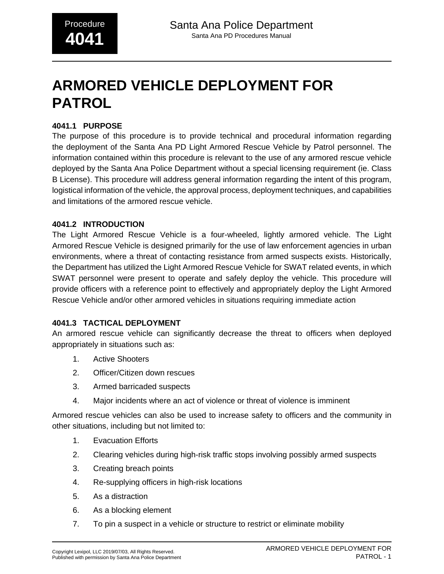# **ARMORED VEHICLE DEPLOYMENT FOR PATROL**

#### **4041.1 PURPOSE**

The purpose of this procedure is to provide technical and procedural information regarding the deployment of the Santa Ana PD Light Armored Rescue Vehicle by Patrol personnel. The information contained within this procedure is relevant to the use of any armored rescue vehicle deployed by the Santa Ana Police Department without a special licensing requirement (ie. Class B License). This procedure will address general information regarding the intent of this program, logistical information of the vehicle, the approval process, deployment techniques, and capabilities and limitations of the armored rescue vehicle.

#### **4041.2 INTRODUCTION**

The Light Armored Rescue Vehicle is a four-wheeled, lightly armored vehicle. The Light Armored Rescue Vehicle is designed primarily for the use of law enforcement agencies in urban environments, where a threat of contacting resistance from armed suspects exists. Historically, the Department has utilized the Light Armored Rescue Vehicle for SWAT related events, in which SWAT personnel were present to operate and safely deploy the vehicle. This procedure will provide officers with a reference point to effectively and appropriately deploy the Light Armored Rescue Vehicle and/or other armored vehicles in situations requiring immediate action

#### **4041.3 TACTICAL DEPLOYMENT**

An armored rescue vehicle can significantly decrease the threat to officers when deployed appropriately in situations such as:

- 1. Active Shooters
- 2. Officer/Citizen down rescues
- 3. Armed barricaded suspects
- 4. Major incidents where an act of violence or threat of violence is imminent

Armored rescue vehicles can also be used to increase safety to officers and the community in other situations, including but not limited to:

- 1. Evacuation Efforts
- 2. Clearing vehicles during high-risk traffic stops involving possibly armed suspects
- 3. Creating breach points
- 4. Re-supplying officers in high-risk locations
- 5. As a distraction
- 6. As a blocking element
- 7. To pin a suspect in a vehicle or structure to restrict or eliminate mobility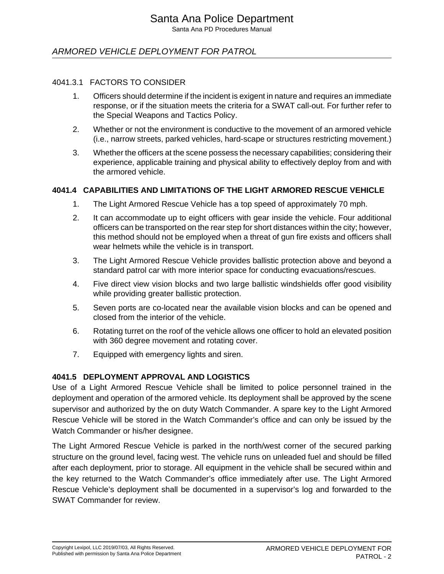Santa Ana PD Procedures Manual

## ARMORED VEHICLE DEPLOYMENT FOR PATROL

#### 4041.3.1 FACTORS TO CONSIDER

- 1. Officers should determine if the incident is exigent in nature and requires an immediate response, or if the situation meets the criteria for a SWAT call-out. For further refer to the Special Weapons and Tactics Policy.
- 2. Whether or not the environment is conductive to the movement of an armored vehicle (i.e., narrow streets, parked vehicles, hard-scape or structures restricting movement.)
- 3. Whether the officers at the scene possess the necessary capabilities; considering their experience, applicable training and physical ability to effectively deploy from and with the armored vehicle.

#### **4041.4 CAPABILITIES AND LIMITATIONS OF THE LIGHT ARMORED RESCUE VEHICLE**

- 1. The Light Armored Rescue Vehicle has a top speed of approximately 70 mph.
- 2. It can accommodate up to eight officers with gear inside the vehicle. Four additional officers can be transported on the rear step for short distances within the city; however, this method should not be employed when a threat of gun fire exists and officers shall wear helmets while the vehicle is in transport.
- 3. The Light Armored Rescue Vehicle provides ballistic protection above and beyond a standard patrol car with more interior space for conducting evacuations/rescues.
- 4. Five direct view vision blocks and two large ballistic windshields offer good visibility while providing greater ballistic protection.
- 5. Seven ports are co-located near the available vision blocks and can be opened and closed from the interior of the vehicle.
- 6. Rotating turret on the roof of the vehicle allows one officer to hold an elevated position with 360 degree movement and rotating cover.
- 7. Equipped with emergency lights and siren.

#### **4041.5 DEPLOYMENT APPROVAL AND LOGISTICS**

Use of a Light Armored Rescue Vehicle shall be limited to police personnel trained in the deployment and operation of the armored vehicle. Its deployment shall be approved by the scene supervisor and authorized by the on duty Watch Commander. A spare key to the Light Armored Rescue Vehicle will be stored in the Watch Commander's office and can only be issued by the Watch Commander or his/her designee.

The Light Armored Rescue Vehicle is parked in the north/west corner of the secured parking structure on the ground level, facing west. The vehicle runs on unleaded fuel and should be filled after each deployment, prior to storage. All equipment in the vehicle shall be secured within and the key returned to the Watch Commander's office immediately after use. The Light Armored Rescue Vehicle's deployment shall be documented in a supervisor's log and forwarded to the SWAT Commander for review.